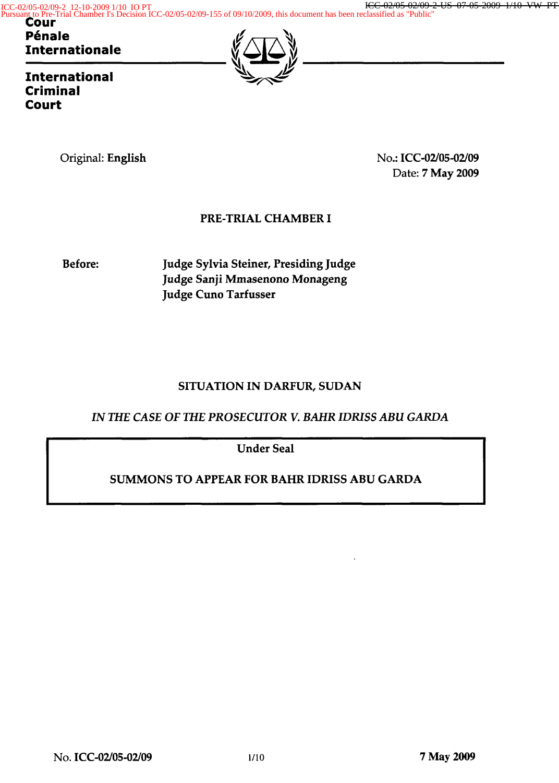ICC-02/05-02/09-2 12-10-2009 1/10 IO PT<br>Pursuant to Pre-Trial Chamber I's Decision ICC-02/05-02/09-155 of 09/10/2009, this document has been reclassified as "Public"

**Cour** Pénale Internationale



International Criminal Court

Original: English No.: ICC-02/05-02/09 Date: 7 May 2009

## PRE-TRIAL CHAMBER I

Before: Judge Sylvia Steiner, Presiding Judge Judge Sanji Mmasenono Monageng Judge Cuno Tarfusser

### SITUATION IN DARFUR, SUDAN

IN THE CASE OF THE PROSECUTOR V. BAHR IDRISS ABU GARDA

Under Seal

# SUMMONS TO APPEAR FOR BAHR IDRISS ABU GARDA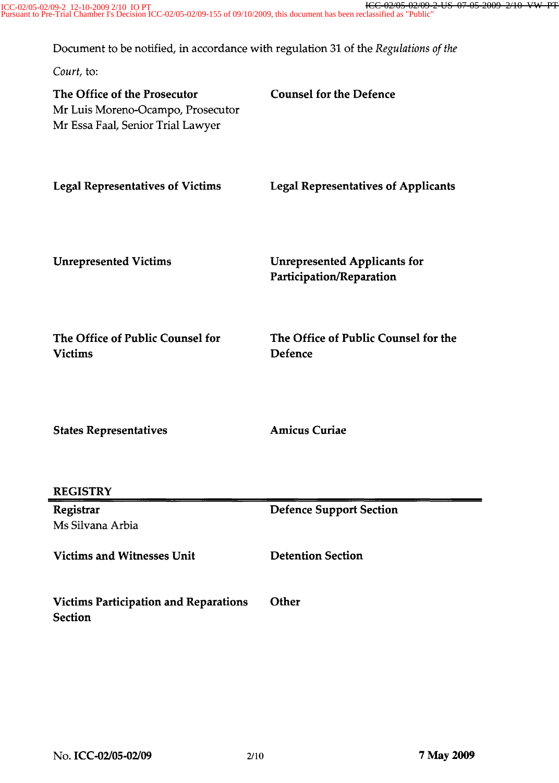Document to be notified, in accordance with regulation 31 of the Regulations of the

Court, to:

| The Office of the Prosecutor<br>Mr Luis Moreno-Ocampo, Prosecutor<br>Mr Essa Faal, Senior Trial Lawyer | <b>Counsel for the Defence</b>                                  |
|--------------------------------------------------------------------------------------------------------|-----------------------------------------------------------------|
| <b>Legal Representatives of Victims</b>                                                                | <b>Legal Representatives of Applicants</b>                      |
| <b>Unrepresented Victims</b>                                                                           | <b>Unrepresented Applicants for</b><br>Participation/Reparation |
| The Office of Public Counsel for<br><b>Victims</b>                                                     | The Office of Public Counsel for the<br><b>Defence</b>          |
| <b>States Representatives</b>                                                                          | <b>Amicus Curiae</b>                                            |
| <b>REGISTRY</b>                                                                                        |                                                                 |
| Registrar<br>Ms Silvana Arbia                                                                          | <b>Defence Support Section</b>                                  |
| <b>Victims and Witnesses Unit</b>                                                                      | <b>Detention Section</b>                                        |

Victims Participation and Reparations Other **Section**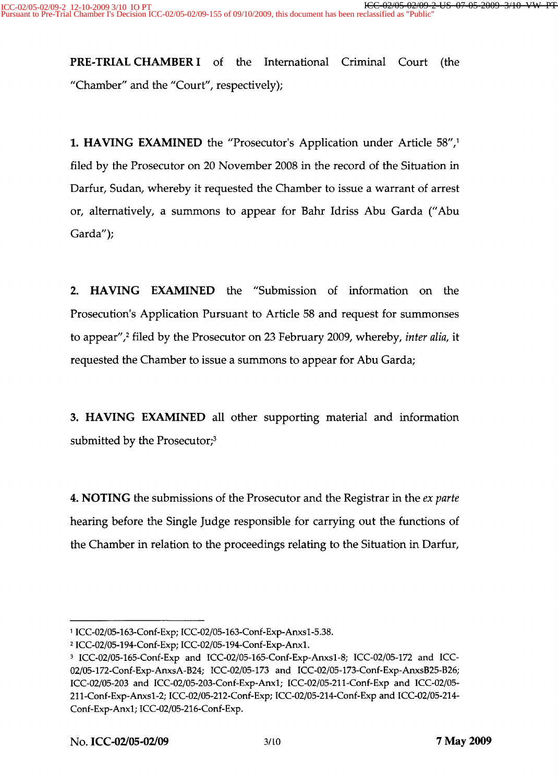PRE-TRIAL CHAMBER I of the International Criminal Court (the "Chamber" and the "Court", respectively);

1. HAVING EXAMINED the "Prosecutor's Application under Article 58",<sup>1</sup> filed by the Prosecutor on 20 November 2008 in the record of the Situation in Darfur, Sudan, whereby it requested the Chamber to issue a warrant of arrest or, alternatively, a summons to appear for Bahr Idriss Abu Garda ("Abu Garda");

2. HAVING EXAMINED the "Submission of information on the Prosecution's Application Pursuant to Article 58 and request for summonses to appear",<sup>2</sup> filed by the Prosecutor on 23 February 2009, whereby, *inter alia*, it requested the Chamber to issue a summons to appear for Abu Garda;

3. HAVING EXAMINED all other supporting material and information submitted by the Prosecutor;<sup>3</sup>

**4. NOTING** the submissions of the Prosecutor and the Registrar in the *ex parte* hearing before the Single Judge responsible for carrying out the functions of the Chamber in relation to the proceedings relating to the Situation in Darfur,

<sup>1</sup> 1CC-02/05-163-Conf-Exp; ICC-02/05-163-Conf-Exp-Anxsl-5.38.

<sup>2</sup> ICC-02/05-194-Conf-Exp; ICC-02/05-194-Conf-Exp-Anxl.

<sup>3</sup> ICC-02/05-165-Conf-Exp and ICC-02/05-165-Conf-Exp-Anxsl-8; ICC-02/05-172 and ICC-02/05-172-Conf-Exp-AnxsA-B24; ICC-02/05-173 and ICC-02/05-173-Conf-Exp-AnxsB25-B26; ICC-02/05-203 and ICC-02/05-203-Conf-Exp-Anxl; ICC-02/05-211-Conf-Exp and ICC-02/05- 211-Conf-Exp-Anxs1-2; ICC-02/05-212-Conf-Exp; ICC-02/05-214-Conf-Exp and ICC-02/05-214-Conf-Exp-Anxl;ICC-02/05-216-Conf-Exp.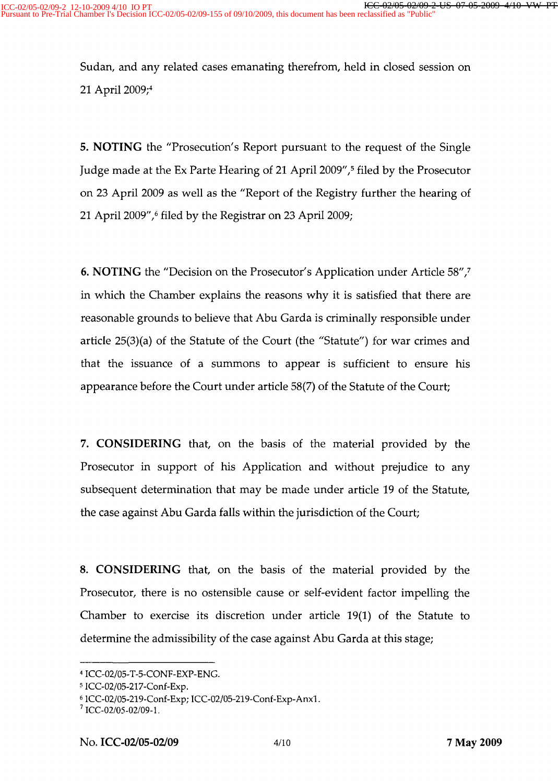Sudan, and any related cases emanating therefrom, held in closed session on 21 April 2009;<sup>4</sup>

5. NOTING the "Prosecution's Report pursuant to the request of the Single Judge made at the Ex Parte Hearing of 21 April 2009",<sup>5</sup> filed by the Prosecutor on 23 April 2009 as well as the "Report of the Registry further the hearing of 21 April 2009",<sup>6</sup> filed by the Registrar on 23 April 2009;

6. NOTING the "Decision on the Prosecutor's Application under Article 58",<sup>7</sup> in which the Chamber explains the reasons why it is satisfied that there are reasonable grounds to believe that Abu Garda is criminally responsible under article 25(3)(a) of the Statute of the Court (the "Statute") for war crimes and that the issuance of a summons to appear is sufficient to ensure his appearance before the Court under article 58(7) of the Statute of the Court;

7. CONSIDERING that, on the basis of the material provided by the Prosecutor in support of his Application and without prejudice to any subsequent determination that may be made under article 19 of the Statute, the case against Abu Garda falls within the jurisdiction of the Court;

8. CONSIDERING that, on the basis of the material provided by the Prosecutor, there is no ostensible cause or self-evident factor impelling the Chamber to exercise its discretion under article 19(1) of the Statute to determine the admissibility of the case against Abu Garda at this stage;

<sup>4</sup> ICC-02/05-T-5-CONF-EXP-ENG.

<sup>5</sup> ICC-02/05-217-Conf-Exp.

<sup>6</sup> lCC-02/05-219-Conf-Exp; ICC-02/05-219-Conf-Exp-Anxl.

 $^7$  ICC-02/05-02/09-1.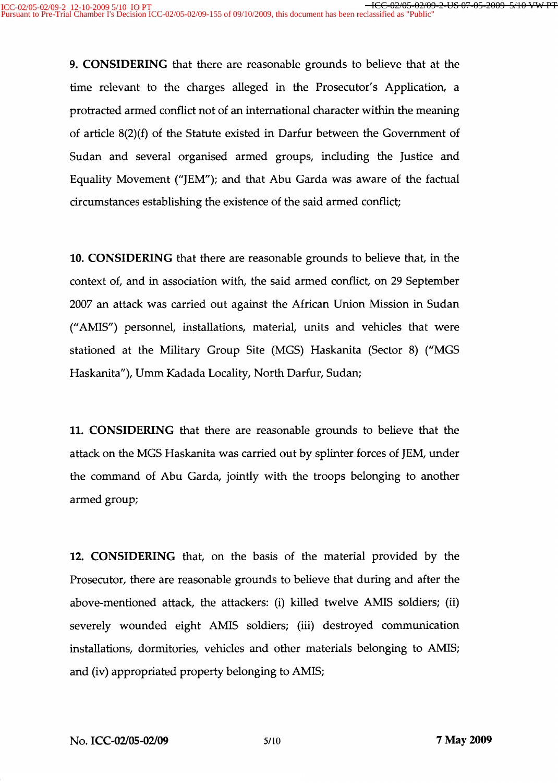circumstances establishing the existence of the said armed conflict; Equality Movement ("JEM"); and that Abu Garda was aware of the factual Sudan and several organised armed groups, including the Justice and of article  $8(2)(f)$  of the Statute existed in Darfur between the Government of protracted armed conflict not of an international character within the meaning time relevant to the charges alleged in the Prosecutor's Application, a **9. CONSIDERING** that there are reasonable grounds to believe that at the

Haskanita"), Umm Kadada Locality, North Darfur, Sudan; stationed at the Military Group Site (MGS) Haskanita (Sector 8) ("MGS ("AMIS") personnel, installations, material, units and vehicles that were 2007 an attack was carried out against the African Union Mission in Sudan context of, and in association with, the said armed conflict, on 29 September 10. CONSIDERING that there are reasonable grounds to believe that, in the

armed group; the command of Abu Garda, jointly with the troops belonging to another on the MGS Haskanita was carried out by splinter forces of JEM, under 11. CONSIDERING that there are reasonable grounds to believe that the

and (iv) appropriated property belonging to AMIS; installations, dormitories, vehicles and other materials belonging to AMIS; severely wounded eight AMIS soldiers; (iii) destroyed communication ttack, the attackers: (i) killed twelve AMIS soldiers; (ii) Prosecutor, there are reasonable grounds to believe that during and after the 12. CONSIDERING that, on the basis of the material provided by the

7 May 2009

5/10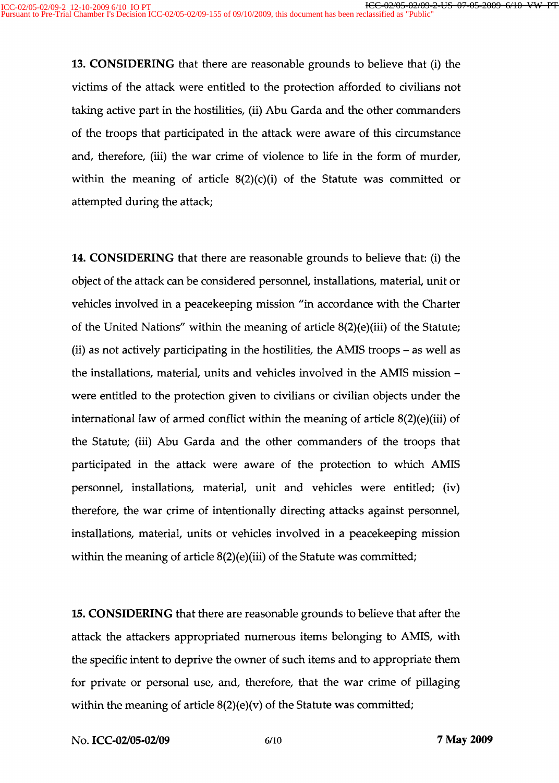13. CONSIDERING that there are reasonable grounds to believe that (i) the victims of the attack were entitled to the protection afforded to civilians not taking active part in the hostilities, (ii) Abu Garda and the other commanders of the troops that participated in the attack were aware of this circumstance and, therefore, (iii) the war crime of violence to life in the form of murder, within the meaning of article  $8(2)(c)(i)$  of the Statute was committed or attempted during the attack;

14. CONSIDERING that there are reasonable grounds to believe that: (i) the object of the attack can be considered personnel, installations, material, unit or vehicles involved in a peacekeeping mission "in accordance with the Charter of the United Nations" within the meaning of article 8(2)(e)(iii) of the Statute; (ii) as not actively participating in the hostilities, the AMIS troops - as well as the installations, material, units and vehicles involved in the AMIS mission were entitled to the protection given to civilians or civilian objects under the international law of armed conflict within the meaning of article  $8(2)(e)$ (iii) of the Statute; (iii) Abu Garda and the other commanders of the troops that participated in the attack were aware of the protection to which AMIS personnel, installations, material, unit and vehicles were entitled; (iv) therefore, the war crime of intentionally directing attacks against personnel, installations, material, units or vehicles involved in a peacekeeping mission within the meaning of article 8(2)(e)(iii) of the Statute was committed;

15. CONSIDERING that there are reasonable grounds to believe that after the attack the attackers appropriated numerous items belonging to AMIS, with the specific intent to deprive the owner of such items and to appropriate them for private or personal use, and, therefore, that the war crime of pillaging within the meaning of article  $8(2)(e)(v)$  of the Statute was committed;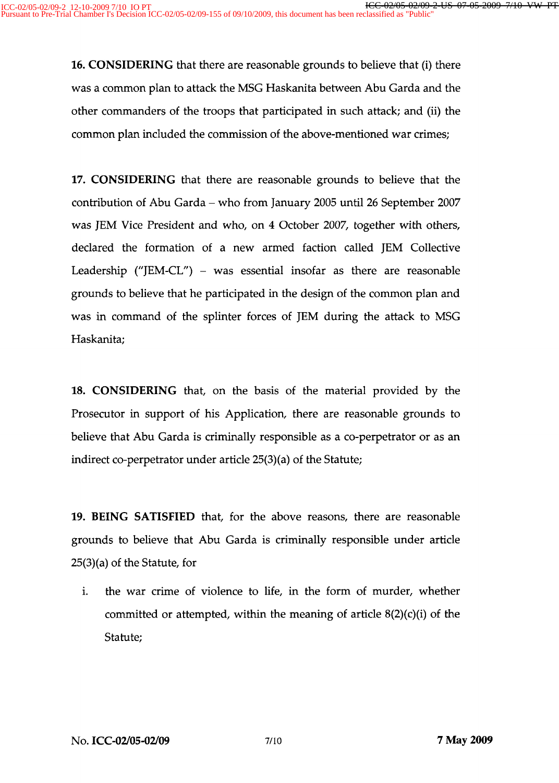16. CONSIDERING that there are reasonable grounds to believe that (i) there was a common plan to attack the MSG Haskanita between Abu Garda and the other commanders of the troops that participated in such attack; and (ii) the common plan included the commission of the above-mentioned war crimes;

17. CONSIDERING that there are reasonable grounds to believe that the contribution of Abu Garda - who from January 2005 until 26 September 2007 was JEM Vice President and who, on 4 October 2007, together with others, declared the formation of a new armed faction called JEM Collective Leadership ("JEM-CL") – was essential insofar as there are reasonable grounds to believe that he participated in the design of the common plan and was in command of the splinter forces of JEM during the attack to MSG Haskanita;

18. CONSIDERING that, on the basis of the material provided by the Prosecutor in support of his Application, there are reasonable grounds to believe that Abu Garda is criminally responsible as a co-perpetrator or as an indirect co-perpetrator under article 25(3)(a) of the Statute;

19. BEING SATISFIED that, for the above reasons, there are reasonable grounds to believe that Abu Garda is criminally responsible under article 25(3)(a) of the Statute, for

i. the war crime of violence to life, in the form of murder, whether committed or attempted, within the meaning of article 8(2)(c)(i) of the Statute;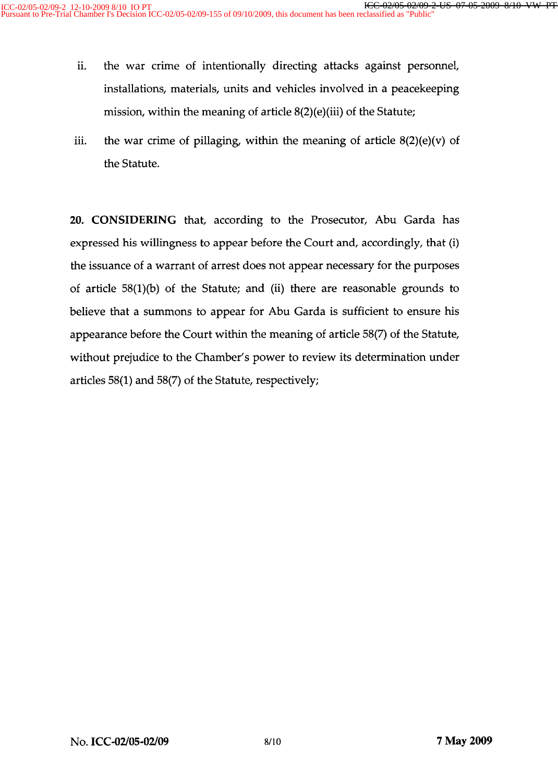- ii. the war crime of intentionally directing attacks against personnel, installations, materials, units and vehicles involved in a peacekeeping mission, within the meaning of article 8(2)(e)(iii) of the Statute;
- iii. the war crime of pillaging, within the meaning of article  $8(2)(e)(v)$  of the Statute.

20. CONSIDERING that, according to the Prosecutor, Abu Garda has expressed his willingness to appear before the Court and, accordingly, that (i) the issuance of a warrant of arrest does not appear necessary for the purposes of article 58(l)(b) of the Statute; and (ii) there are reasonable grounds to believe that a summons to appear for Abu Garda is sufficient to ensure his appearance before the Court within the meaning of article 58(7) of the Statute, without prejudice to the Chamber's power to review its determination under articles 58(1) and 58(7) of the Statute, respectively;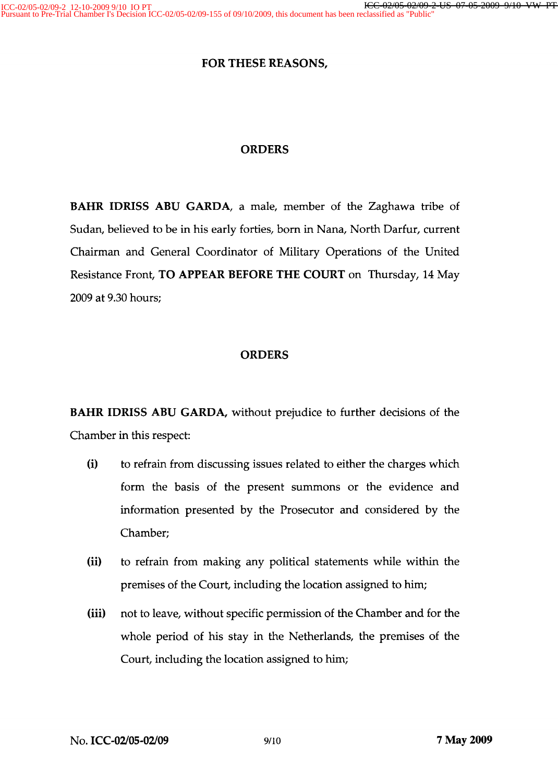#### FOR THESE REASONS,

#### ORDERS

BAHR IDRISS ABU GARDA, a male, member of the Zaghawa tribe of Sudan, believed to be in his early forties, born in Nana, North Darfur, current Chairman and General Coordinator of Military Operations of the United Resistance Front, TO APPEAR BEFORE THE COURT on Thursday, 14 May 2009 at 9.30 hours;

#### ORDERS

BAHR IDRISS ABU GARDA, without prejudice to further decisions of the Chamber in this respect:

- (i) to refrain from discussing issues related to either the charges which form the basis of the present summons or the evidence and information presented by the Prosecutor and considered by the Chamber;
- (ii) to refrain from making any political statements while within the premises of the Court, including the location assigned to him;
- (iii) not to leave, without specific permission of the Chamber and for the whole period of his stay in the Netherlands, the premises of the Court, including the location assigned to him;